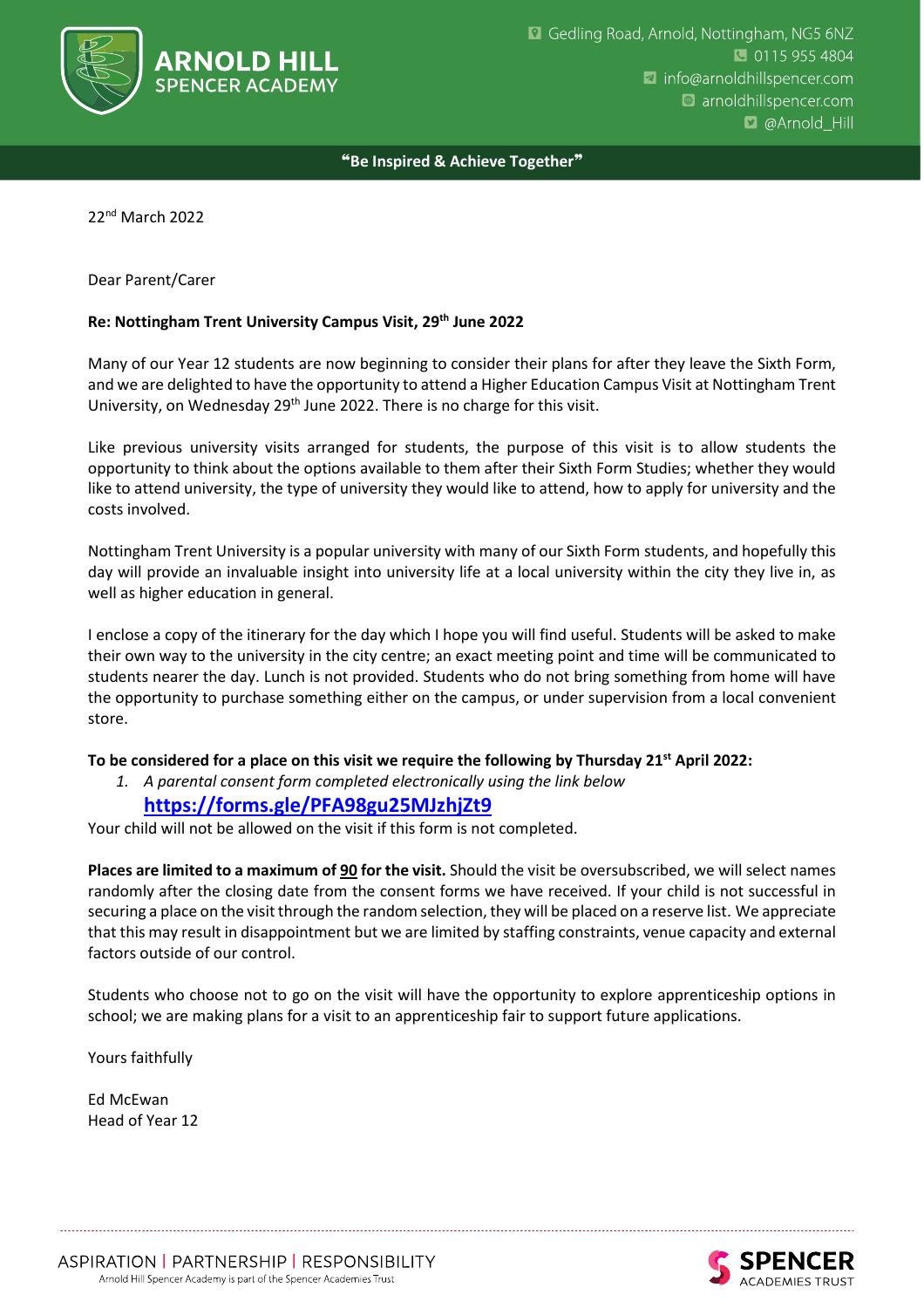

❝**Be Inspired & Achieve Together**❞

22nd March 2022

#### Dear Parent/Carer

#### **Re: Nottingham Trent University Campus Visit, 29th June 2022**

Many of our Year 12 students are now beginning to consider their plans for after they leave the Sixth Form, and we are delighted to have the opportunity to attend a Higher Education Campus Visit at Nottingham Trent University, on Wednesday 29<sup>th</sup> June 2022. There is no charge for this visit.

Like previous university visits arranged for students, the purpose of this visit is to allow students the opportunity to think about the options available to them after their Sixth Form Studies; whether they would like to attend university, the type of university they would like to attend, how to apply for university and the costs involved.

Nottingham Trent University is a popular university with many of our Sixth Form students, and hopefully this day will provide an invaluable insight into university life at a local university within the city they live in, as well as higher education in general.

I enclose a copy of the itinerary for the day which I hope you will find useful. Students will be asked to make their own way to the university in the city centre; an exact meeting point and time will be communicated to students nearer the day. Lunch is not provided. Students who do not bring something from home will have the opportunity to purchase something either on the campus, or under supervision from a local convenient store.

### **To be considered for a place on this visit we require the following by Thursday 21st April 2022:**

*1. A parental consent form completed electronically using the link below*

## **<https://forms.gle/PFA98gu25MJzhjZt9>**

Your child will not be allowed on the visit if this form is not completed.

**Places are limited to a maximum of 90 for the visit.** Should the visit be oversubscribed, we will select names randomly after the closing date from the consent forms we have received. If your child is not successful in securing a place on the visitthrough the random selection, they will be placed on a reserve list. We appreciate that this may result in disappointment but we are limited by staffing constraints, venue capacity and external factors outside of our control.

Students who choose not to go on the visit will have the opportunity to explore apprenticeship options in school; we are making plans for a visit to an apprenticeship fair to support future applications.

Yours faithfully

Ed McEwan Head of Year 12

CADEMIES TRUST